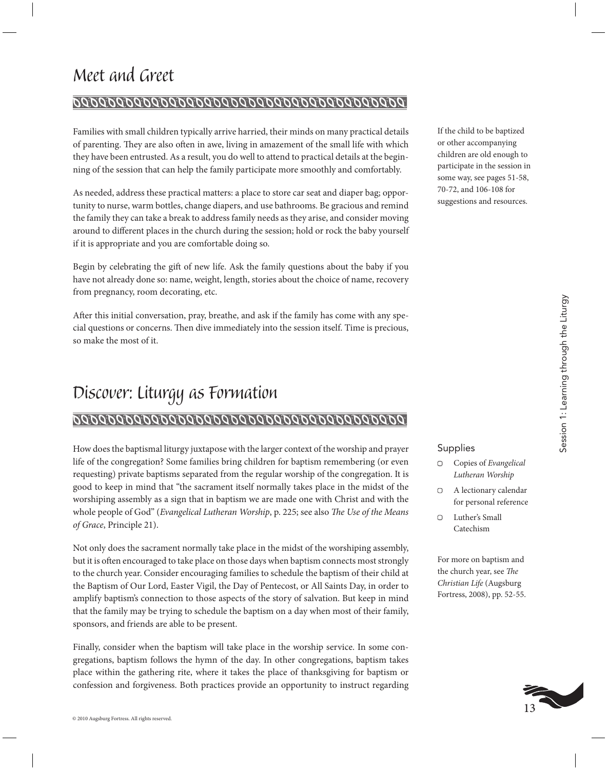# *Meet and Greet*

### 

Families with small children typically arrive harried, their minds on many practical details of parenting. They are also often in awe, living in amazement of the small life with which they have been entrusted. As a result, you do well to attend to practical details at the beginning of the session that can help the family participate more smoothly and comfortably.

As needed, address these practical matters: a place to store car seat and diaper bag; opportunity to nurse, warm bottles, change diapers, and use bathrooms. Be gracious and remind the family they can take a break to address family needs as they arise, and consider moving around to different places in the church during the session; hold or rock the baby yourself if it is appropriate and you are comfortable doing so.

Begin by celebrating the gift of new life. Ask the family questions about the baby if you have not already done so: name, weight, length, stories about the choice of name, recovery from pregnancy, room decorating, etc.

After this initial conversation, pray, breathe, and ask if the family has come with any special questions or concerns. Then dive immediately into the session itself. Time is precious, so make the most of it.

## *Discover: Liturgy as Formation*

### 

How does the baptismal liturgy juxtapose with the larger context of the worship and prayer life of the congregation? Some families bring children for baptism remembering (or even requesting) private baptisms separated from the regular worship of the congregation. It is good to keep in mind that "the sacrament itself normally takes place in the midst of the worshiping assembly as a sign that in baptism we are made one with Christ and with the whole people of God" (*Evangelical Lutheran Worship*, p. 225; see also *The Use of the Means of Grace*, Principle 21).

Not only does the sacrament normally take place in the midst of the worshiping assembly, but it is often encouraged to take place on those days when baptism connects most strongly to the church year. Consider encouraging families to schedule the baptism of their child at the Baptism of Our Lord, Easter Vigil, the Day of Pentecost, or All Saints Day, in order to amplify baptism's connection to those aspects of the story of salvation. But keep in mind that the family may be trying to schedule the baptism on a day when most of their family, sponsors, and friends are able to be present.

Finally, consider when the baptism will take place in the worship service. In some congregations, baptism follows the hymn of the day. In other congregations, baptism takes place within the gathering rite, where it takes the place of thanksgiving for baptism or confession and forgiveness. Both practices provide an opportunity to instruct regarding If the child to be baptized or other accompanying children are old enough to participate in the session in some way, see pages 51-58, 70-72, and 106-108 for suggestions and resources.

#### Supplies

- Copies of *Evangelical Lutheran Worship*
- A lectionary calendar for personal reference
- Luther's Small Catechism

For more on baptism and the church year, see *The Christian Life* (Augsburg Fortress, 2008), pp. 52-55.